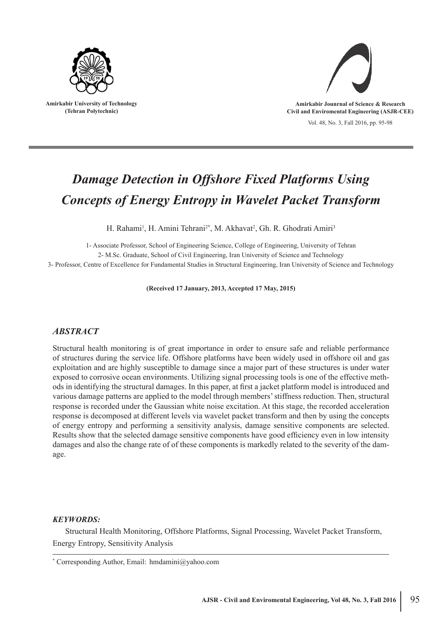

**Amirkabir University of Technology (Tehran Polytechnic)**



Vol. 48, No. 3, Fall 2016, pp. 95-98

# *Damage Detection in Offshore Fixed Platforms Using Concepts of Energy Entropy in Wavelet Packet Transform*

H. Rahami<sup>1</sup>, H. Amini Tehrani<sup>2\*</sup>, M. Akhavat<sup>2</sup>, Gh. R. Ghodrati Amiri<sup>3</sup>

1- Associate Professor, School of Engineering Science, College of Engineering, University of Tehran 2- M.Sc. Graduate, School of Civil Engineering, Iran University of Science and Technology 3- Professor, Centre of Excellence for Fundamental Studies in Structural Engineering, Iran University of Science and Technology

**(Received 17 January, 2013, Accepted 17 May, 2015)**

## *ABSTRACT*

Structural health monitoring is of great importance in order to ensure safe and reliable performance of structures during the service life. Offshore platforms have been widely used in offshore oil and gas exploitation and are highly susceptible to damage since a major part of these structures is under water exposed to corrosive ocean environments. Utilizing signal processing tools is one of the effective methods in identifying the structural damages. In this paper, at first a jacket platform model is introduced and various damage patterns are applied to the model through members' stiffness reduction. Then, structural response is recorded under the Gaussian white noise excitation. At this stage, the recorded acceleration response is decomposed at different levels via wavelet packet transform and then by using the concepts of energy entropy and performing a sensitivity analysis, damage sensitive components are selected. Results show that the selected damage sensitive components have good efficiency even in low intensity damages and also the change rate of of these components is markedly related to the severity of the damage.

#### *KEYWORDS:*

Structural Health Monitoring, Offshore Platforms, Signal Processing, Wavelet Packet Transform, Energy Entropy, Sensitivity Analysis

<sup>\*</sup> Corresponding Author, Email: hmdamini@yahoo.com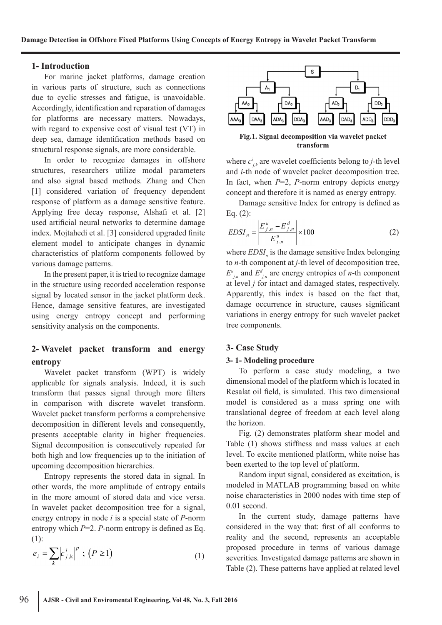#### **1- Introduction**

For marine jacket platforms, damage creation in various parts of structure, such as connections due to cyclic stresses and fatigue, is unavoidable. Accordingly, identification and reparation of damages for platforms are necessary matters. Nowadays, with regard to expensive cost of visual test (VT) in deep sea, damage identification methods based on structural response signals, are more considerable.

In order to recognize damages in offshore structures, researchers utilize modal parameters and also signal based methods. Zhang and Chen [1] considered variation of frequency dependent response of platform as a damage sensitive feature. Applying free decay response, Alshafi et al. [2] used artificial neural networks to determine damage index. Mojtahedi et al. [3] considered upgraded finite element model to anticipate changes in dynamic characteristics of platform components followed by various damage patterns.

In the present paper, it is tried to recognize damage in the structure using recorded acceleration response signal by located sensor in the jacket platform deck. Hence, damage sensitive features, are investigated using energy entropy concept and performing sensitivity analysis on the components.

# **2- Wavelet packet transform and energy entropy**

Wavelet packet transform (WPT) is widely applicable for signals analysis. Indeed, it is such transform that passes signal through more filters in comparison with discrete wavelet transform. Wavelet packet transform performs a comprehensive decomposition in different levels and consequently, presents acceptable clarity in higher frequencies. Signal decomposition is consecutively repeated for both high and low frequencies up to the initiation of upcoming decomposition hierarchies.

Entropy represents the stored data in signal. In other words, the more amplitude of entropy entails in the more amount of stored data and vice versa. In wavelet packet decomposition tree for a signal, energy entropy in node *i* is a special state of *P*-norm entropy which *P*=2. *P*-norm entropy is defined as Eq. (1):

$$
e_i = \sum_k \left| c_{j,k}^i \right|^p ; (P \ge 1)
$$
 (1)



**Fig.1. Signal decomposition via wavelet packet transform**

where  $c_{j,k}^i$  are wavelet coefficients belong to *j*-th level and *i*-th node of wavelet packet decomposition tree. In fact, when *P*=2, *P*-norm entropy depicts energy concept and therefore it is named as energy entropy.

Damage sensitive Index for entropy is defined as Eq. (2):

$$
EDSI_{n} = \left| \frac{E_{j,n}^{u} - E_{j,n}^{d}}{E_{j,n}^{u}} \right| \times 100
$$
 (2)

where  $EDSI_n$  is the damage sensitive Index belonging to *n*-th component at *j*-th level of decomposition tree,  $E^u_{j,n}$  and  $E^d_{j,n}$  are energy entropies of *n*-th component at level *j* for intact and damaged states, respectively. Apparently, this index is based on the fact that, damage occurrence in structure, causes significant variations in energy entropy for such wavelet packet tree components.

## **3- Case Study**

#### **3- 1- Modeling procedure**

To perform a case study modeling, a two dimensional model of the platform which is located in Resalat oil field, is simulated. This two dimensional model is considered as a mass spring one with translational degree of freedom at each level along the horizon.

Fig. (2) demonstrates platform shear model and Table (1) shows stiffness and mass values at each level. To excite mentioned platform, white noise has been exerted to the top level of platform.

Random input signal, considered as excitation, is modeled in MATLAB programming based on white noise characteristics in 2000 nodes with time step of 0.01 second.

In the current study, damage patterns have considered in the way that: first of all conforms to reality and the second, represents an acceptable proposed procedure in terms of various damage severities. Investigated damage patterns are shown in Table (2). These patterns have applied at related level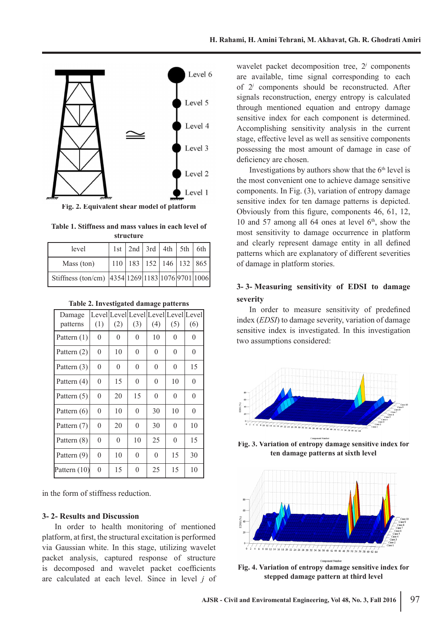

**Fig. 2. Equivalent shear model of platform**

|           | Table 1. Stiffness and mass values in each level of |  |  |  |  |  |  |  |
|-----------|-----------------------------------------------------|--|--|--|--|--|--|--|
| structure |                                                     |  |  |  |  |  |  |  |

| level                                            |  |  | 1st   2nd   3rd   4th   5th   6th |
|--------------------------------------------------|--|--|-----------------------------------|
| Mass (ton)                                       |  |  | 110 183 152 146 132 865           |
| Stiffness (ton/cm) 4354 1269 1183 1076 9701 1006 |  |  |                                   |

| Table 2. Investigated damage patterns |  |  |
|---------------------------------------|--|--|
|---------------------------------------|--|--|

| Damage         |          | Level Level Level Level Level Level |          |          |          |                |
|----------------|----------|-------------------------------------|----------|----------|----------|----------------|
| patterns       | (1)      | (2)                                 | (3)      | (4)      | (5)      | (6)            |
| Pattern $(1)$  | $\theta$ | 0                                   | $\theta$ | 10       | $\theta$ | 0              |
| Pattern $(2)$  | $\theta$ | 10                                  | $\theta$ | $\Omega$ | $\theta$ | $\overline{0}$ |
| Pattern $(3)$  | $\theta$ | $\theta$                            | $\theta$ | $\theta$ | $\theta$ | 15             |
| Pattern $(4)$  | 0        | 15                                  | $\theta$ | $\theta$ | 10       | $\theta$       |
| Pattern $(5)$  | $\theta$ | 20                                  | 15       | $\Omega$ | $\theta$ | $\theta$       |
| Pattern $(6)$  | $\theta$ | 10                                  | $\theta$ | 30       | 10       | $\theta$       |
| Pattern (7)    | $\theta$ | 20                                  | $\theta$ | 30       | $\theta$ | 10             |
| Pattern (8)    | $\theta$ | $\overline{0}$                      | 10       | 25       | $\theta$ | 15             |
| Pattern (9)    | $\theta$ | 10                                  | $\theta$ | $\theta$ | 15       | 30             |
| Pattern $(10)$ | $\theta$ | 15                                  | $\theta$ | 25       | 15       | 10             |

in the form of stiffness reduction.

#### **3- 2- Results and Discussion**

In order to health monitoring of mentioned platform, at first, the structural excitation is performed via Gaussian white. In this stage, utilizing wavelet packet analysis, captured response of structure is decomposed and wavelet packet coefficients are calculated at each level. Since in level *j* of wavelet packet decomposition tree, 2<sup>*j*</sup> components are available, time signal corresponding to each of 2*<sup>j</sup>* components should be reconstructed. After signals reconstruction, energy entropy is calculated through mentioned equation and entropy damage sensitive index for each component is determined. Accomplishing sensitivity analysis in the current stage, effective level as well as sensitive components possessing the most amount of damage in case of deficiency are chosen.

Investigations by authors show that the 6<sup>th</sup> level is the most convenient one to achieve damage sensitive components. In Fig. (3), variation of entropy damage sensitive index for ten damage patterns is depicted. Obviously from this figure, components 46, 61, 12, 10 and 57 among all 64 ones at level  $6<sup>th</sup>$ , show the most sensitivity to damage occurrence in platform and clearly represent damage entity in all defined patterns which are explanatory of different severities of damage in platform stories.

## **3- 3- Measuring sensitivity of EDSI to damage severity**

In order to measure sensitivity of predefined index (*EDSI*) to damage severity, variation of damage sensitive index is investigated. In this investigation two assumptions considered:



**Fig. 3. Variation of entropy damage sensitive index for ten damage patterns at sixth level**



**Fig. 4. Variation of entropy damage sensitive index for stepped damage pattern at third level**